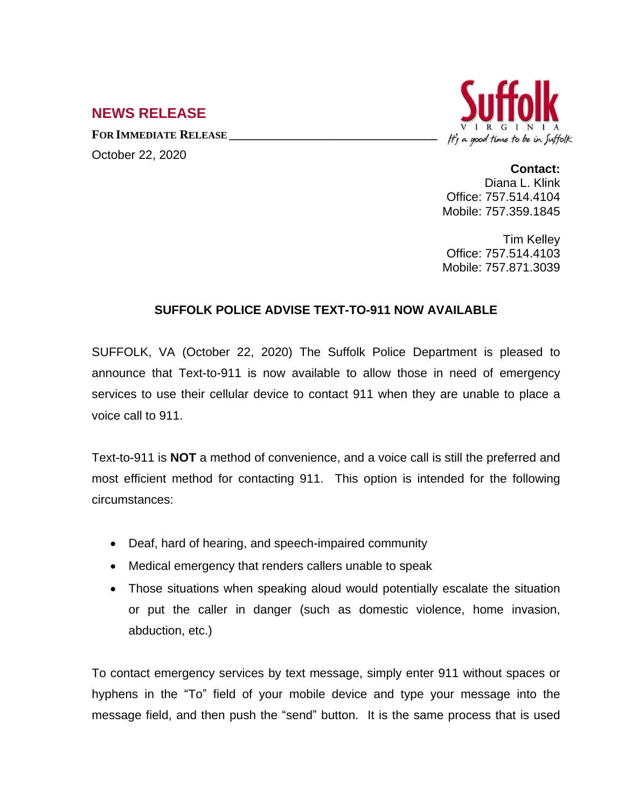## **NEWS RELEASE**

**FOR IMMEDIATE RELEASE \_\_\_\_\_\_\_\_\_\_\_\_\_\_\_\_\_\_\_\_\_\_\_\_\_\_\_\_\_\_\_\_\_\_**

October 22, 2020



**Contact:**

Diana L. Klink Office: 757.514.4104 Mobile: 757.359.1845

Tim Kelley Office: 757.514.4103 Mobile: 757.871.3039

## **SUFFOLK POLICE ADVISE TEXT-TO-911 NOW AVAILABLE**

SUFFOLK, VA (October 22, 2020) The Suffolk Police Department is pleased to announce that Text-to-911 is now available to allow those in need of emergency services to use their cellular device to contact 911 when they are unable to place a voice call to 911.

Text-to-911 is **NOT** a method of convenience, and a voice call is still the preferred and most efficient method for contacting 911. This option is intended for the following circumstances:

- Deaf, hard of hearing, and speech-impaired community
- Medical emergency that renders callers unable to speak
- Those situations when speaking aloud would potentially escalate the situation or put the caller in danger (such as domestic violence, home invasion, abduction, etc.)

To contact emergency services by text message, simply enter 911 without spaces or hyphens in the "To" field of your mobile device and type your message into the message field, and then push the "send" button. It is the same process that is used